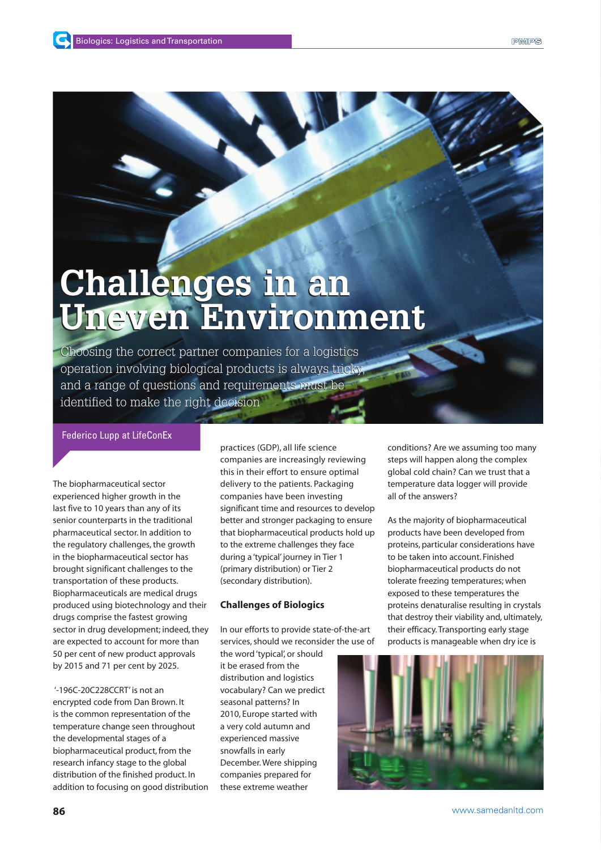# **Challenges in an Challenges in an Uneven Environment Uneven Environment**

Choosing the correct partner companies for a logistics operation involving biological products is always tricky, and a range of questions and requirements must be identified to make the right decision

# Federico Lupp at LifeConEx

The biopharmaceutical sector experienced higher growth in the last five to 10 years than any of its senior counterparts in the traditional pharmaceutical sector. In addition to the regulatory challenges, the growth in the biopharmaceutical sector has brought significant challenges to the transportation of these products. Biopharmaceuticals are medical drugs produced using biotechnology and their drugs comprise the fastest growing sector in drug development; indeed, they are expected to account for more than 50 per cent of new product approvals by 2015 and 71 per cent by 2025.

'-196C-20C228CCRT' is not an encrypted code from Dan Brown. It is the common representation of the temperature change seen throughout the developmental stages of a biopharmaceutical product, from the research infancy stage to the global distribution of the finished product. In addition to focusing on good distribution practices (GDP), all life science companies are increasingly reviewing this in their effort to ensure optimal delivery to the patients. Packaging companies have been investing significant time and resources to develop better and stronger packaging to ensure that biopharmaceutical products hold up to the extreme challenges they face during a 'typical' journey in Tier 1 (primary distribution) or Tier 2 (secondary distribution).

# **Challenges of Biologics**

In our efforts to provide state-of-the-art services, should we reconsider the use of

the word 'typical', or should it be erased from the distribution and logistics vocabulary? Can we predict seasonal patterns? In 2010, Europe started with a very cold autumn and experienced massive snowfalls in early December. Were shipping companies prepared for these extreme weather

conditions? Are we assuming too many steps will happen along the complex global cold chain? Can we trust that a temperature data logger will provide all of the answers?

As the majority of biopharmaceutical products have been developed from proteins, particular considerations have to be taken into account. Finished biopharmaceutical products do not tolerate freezing temperatures; when exposed to these temperatures the proteins denaturalise resulting in crystals that destroy their viability and, ultimately, their efficacy. Transporting early stage products is manageable when dry ice is

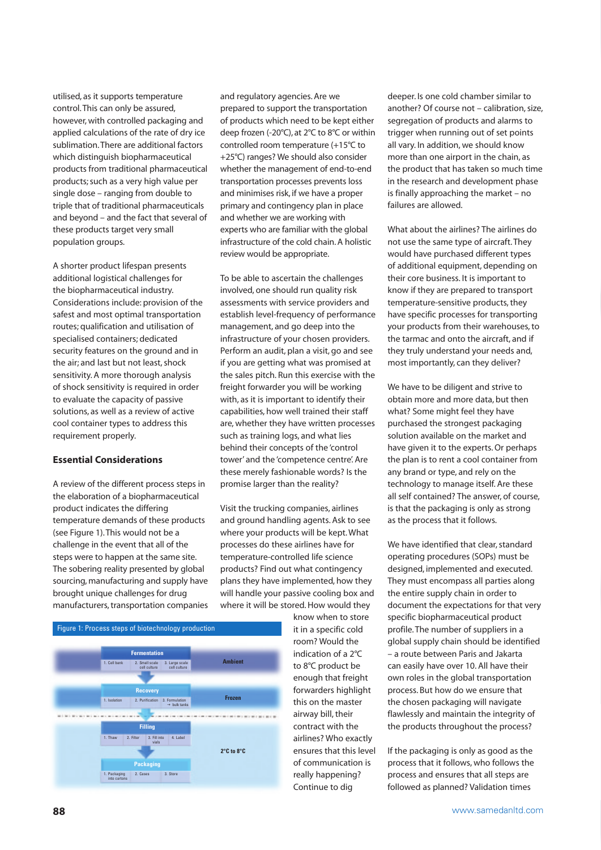utilised, as it supports temperature control. This can only be assured, however, with controlled packaging and applied calculations of the rate of dry ice sublimation. There are additional factors which distinguish biopharmaceutical products from traditional pharmaceutical products; such as a very high value per single dose – ranging from double to triple that of traditional pharmaceuticals and beyond – and the fact that several of these products target very small population groups.

A shorter product lifespan presents additional logistical challenges for the biopharmaceutical industry. Considerations include: provision of the safest and most optimal transportation routes; qualification and utilisation of specialised containers; dedicated security features on the ground and in the air; and last but not least, shock sensitivity. A more thorough analysis of shock sensitivity is required in order to evaluate the capacity of passive solutions, as well as a review of active cool container types to address this requirement properly.

# **Essential Considerations**

A review of the different process steps in the elaboration of a biopharmaceutical product indicates the differing temperature demands of these products (see Figure 1). This would not be a challenge in the event that all of the steps were to happen at the same site. The sobering reality presented by global sourcing, manufacturing and supply have brought unique challenges for drug manufacturers, transportation companies



and regulatory agencies. Are we prepared to support the transportation of products which need to be kept either deep frozen (-20°C), at 2°C to 8°C or within controlled room temperature (+15°C to +25°C) ranges? We should also consider whether the management of end-to-end transportation processes prevents loss and minimises risk, if we have a proper primary and contingency plan in place and whether we are working with experts who are familiar with the global infrastructure of the cold chain. A holistic review would be appropriate.

To be able to ascertain the challenges involved, one should run quality risk assessments with service providers and establish level-frequency of performance management, and go deep into the infrastructure of your chosen providers. Perform an audit, plan a visit, go and see if you are getting what was promised at the sales pitch. Run this exercise with the freight forwarder you will be working with, as it is important to identify their capabilities, how well trained their staff are, whether they have written processes such as training logs, and what lies behind their concepts of the 'control tower' and the 'competence centre'. Are these merely fashionable words? Is the promise larger than the reality?

Visit the trucking companies, airlines and ground handling agents. Ask to see where your products will be kept. What processes do these airlines have for temperature-controlled life science products? Find out what contingency plans they have implemented, how they will handle your passive cooling box and where it will be stored. How would they

know when to store it in a specific cold room? Would the indication of a 2°C to 8°C product be enough that freight forwarders highlight this on the master airway bill, their contract with the airlines? Who exactly ensures that this level of communication is really happening? Continue to dig

deeper. Is one cold chamber similar to another? Of course not – calibration, size, segregation of products and alarms to trigger when running out of set points all vary. In addition, we should know more than one airport in the chain, as the product that has taken so much time in the research and development phase is finally approaching the market – no failures are allowed.

What about the airlines? The airlines do not use the same type of aircraft. They would have purchased different types of additional equipment, depending on their core business. It is important to know if they are prepared to transport temperature-sensitive products, they have specific processes for transporting your products from their warehouses, to the tarmac and onto the aircraft, and if they truly understand your needs and, most importantly, can they deliver?

We have to be diligent and strive to obtain more and more data, but then what? Some might feel they have purchased the strongest packaging solution available on the market and have given it to the experts. Or perhaps the plan is to rent a cool container from any brand or type, and rely on the technology to manage itself. Are these all self contained? The answer, of course, is that the packaging is only as strong as the process that it follows.

We have identified that clear, standard operating procedures (SOPs) must be designed, implemented and executed. They must encompass all parties along the entire supply chain in order to document the expectations for that very specific biopharmaceutical product profile. The number of suppliers in a global supply chain should be identified – a route between Paris and Jakarta can easily have over 10. All have their own roles in the global transportation process. But how do we ensure that the chosen packaging will navigate flawlessly and maintain the integrity of the products throughout the process?

If the packaging is only as good as the process that it follows, who follows the process and ensures that all steps are followed as planned? Validation times

#### **88** www.samedanltd.com